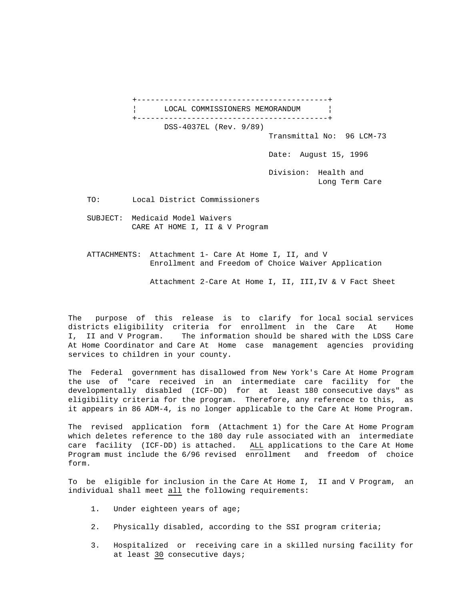+------------------------------------------+ LOCAL COMMISSIONERS MEMORANDUM | +------------------------------------------+ DSS-4037EL (Rev. 9/89) Transmittal No: 96 LCM-73

Date: August 15, 1996

 Division: Health and Long Term Care

TO: Local District Commissioners

 SUBJECT: Medicaid Model Waivers CARE AT HOME I, II & V Program

 ATTACHMENTS: Attachment 1- Care At Home I, II, and V Enrollment and Freedom of Choice Waiver Application

Attachment 2-Care At Home I, II, III,IV & V Fact Sheet

The purpose of this release is to clarify for local social services districts eligibility criteria for enrollment in the Care At Home I, II and V Program. The information should be shared with the LDSS Care At Home Coordinator and Care At Home case management agencies providing services to children in your county.

The Federal government has disallowed from New York's Care At Home Program the use of "care received in an intermediate care facility for the developmentally disabled (ICF-DD) for at least 180 consecutive days" as eligibility criteria for the program. Therefore, any reference to this, as it appears in 86 ADM-4, is no longer applicable to the Care At Home Program.

The revised application form (Attachment 1) for the Care At Home Program which deletes reference to the 180 day rule associated with an intermediate care facility (ICF-DD) is attached. ALL applications to the Care At Home Program must include the 6/96 revised enrollment and freedom of choice form.

To be eligible for inclusion in the Care At Home I, II and V Program, an individual shall meet all the following requirements:

- 1. Under eighteen years of age;
- 2. Physically disabled, according to the SSI program criteria;
- 3. Hospitalized or receiving care in a skilled nursing facility for at least 30 consecutive days;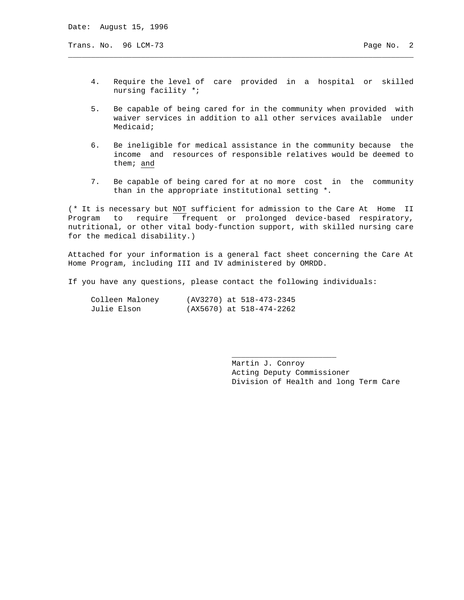Trans. No. 96 LCM-73 Page No. 2

 4. Require the level of care provided in a hospital or skilled nursing facility \*;

\_\_\_\_\_\_\_\_\_\_\_\_\_\_\_\_\_\_\_\_\_\_\_\_\_\_\_\_\_\_\_\_\_\_\_\_\_\_\_\_\_\_\_\_\_\_\_\_\_\_\_\_\_\_\_\_\_\_\_\_\_\_\_\_\_\_\_\_\_\_\_\_\_\_\_\_

- 5. Be capable of being cared for in the community when provided with waiver services in addition to all other services available under Medicaid;
- 6. Be ineligible for medical assistance in the community because the income and resources of responsible relatives would be deemed to them; and
- 7. Be capable of being cared for at no more cost in the community than in the appropriate institutional setting \*.

(\* It is necessary but NOT sufficient for admission to the Care At Home II Program to require frequent or prolonged device-based respiratory, nutritional, or other vital body-function support, with skilled nursing care for the medical disability.)

Attached for your information is a general fact sheet concerning the Care At Home Program, including III and IV administered by OMRDD.

If you have any questions, please contact the following individuals:

| Colleen Maloney | (AV3270) at 518-473-2345 |  |
|-----------------|--------------------------|--|
| Julie Elson     | (AX5670) at 518-474-2262 |  |

 $\mathcal{L}_\text{max}$  , which is a set of the set of the set of the set of the set of the set of the set of the set of the set of the set of the set of the set of the set of the set of the set of the set of the set of the set of

 Martin J. Conroy Acting Deputy Commissioner Division of Health and long Term Care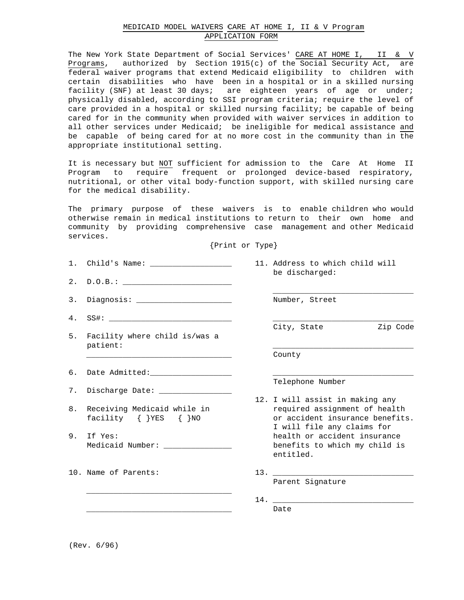## MEDICAID MODEL WAIVERS CARE AT HOME I, II & V Program APPLICATION FORM

The New York State Department of Social Services' CARE AT HOME I, II & V Programs, authorized by Section 1915(c) of the Social Security Act, are federal waiver programs that extend Medicaid eligibility to children with certain disabilities who have been in a hospital or in a skilled nursing facility (SNF) at least 30 days; are eighteen years of age or under; physically disabled, according to SSI program criteria; require the level of care provided in a hospital or skilled nursing facility; be capable of being cared for in the community when provided with waiver services in addition to all other services under Medicaid; be ineligible for medical assistance and be capable of being cared for at no more cost in the community than in the appropriate institutional setting.

It is necessary but NOT sufficient for admission to the Care At Home II Program to require frequent or prolonged device-based respiratory, nutritional, or other vital body-function support, with skilled nursing care for the medical disability.

The primary purpose of these waivers is to enable children who would otherwise remain in medical institutions to return to their own home and community by providing comprehensive case management and other Medicaid services.

{Print or Type}

 $\mathcal{L}_\text{max}$  , and the set of the set of the set of the set of the set of the set of the set of the set of the set of the set of the set of the set of the set of the set of the set of the set of the set of the set of the

- 1. Child's Name: \_\_\_\_\_\_\_\_\_\_\_\_\_\_\_\_\_\_\_\_\_\_ 11. Address to which child will
- 2. D.O.B.: \_\_\_\_\_\_\_\_\_\_\_\_\_\_\_\_\_\_\_\_\_\_\_\_
- 3. Diagnosis: \_\_\_\_\_\_\_\_\_\_\_\_\_\_\_\_\_\_\_\_\_ Number, Street
- $4. \quad$  SS#:  $\_\_$
- 5. Facility where child is/was a patient:
- 6. Date Admitted:\_\_\_\_\_\_\_\_\_\_\_\_\_\_\_\_\_\_ \_\_\_\_\_\_\_\_\_\_\_\_\_\_\_\_\_\_\_\_\_\_\_\_\_\_\_\_\_\_\_
- 7. Discharge Date: \_\_\_\_\_\_\_\_\_\_\_\_\_\_\_\_
- 
- 9. If Yes: health or accident insurance

 $\mathcal{L}=\mathcal{L}=\mathcal{L}=\mathcal{L}=\mathcal{L}=\mathcal{L}=\mathcal{L}=\mathcal{L}=\mathcal{L}=\mathcal{L}=\mathcal{L}=\mathcal{L}=\mathcal{L}=\mathcal{L}=\mathcal{L}=\mathcal{L}=\mathcal{L}=\mathcal{L}=\mathcal{L}=\mathcal{L}=\mathcal{L}=\mathcal{L}=\mathcal{L}=\mathcal{L}=\mathcal{L}=\mathcal{L}=\mathcal{L}=\mathcal{L}=\mathcal{L}=\mathcal{L}=\mathcal{L}=\mathcal{L}=\mathcal{L}=\mathcal{L}=\mathcal{L}=\mathcal{L}=\mathcal{$ 

10. Name of Parents: 13. \_\_\_\_\_\_\_\_\_\_\_\_\_\_\_\_\_\_\_\_\_\_\_\_\_\_\_\_\_\_\_

be discharged:

City, State  $\qquad \qquad$  Zip Code

County

Telephone Number

- 12. I will assist in making any 8. Receiving Medicaid while in The required assignment of health facility {  $YES$  {  $NO$  or accident insurance benefits. I will file any claims for Medicaid Number: \_\_\_\_\_\_\_\_\_\_\_\_\_\_\_ benefits to which my child is entitled.
	-

Parent Signature

 $14.$  \_ \_\_\_\_\_\_\_\_\_\_\_\_\_\_\_\_\_\_\_\_\_\_\_\_\_\_\_\_\_\_\_\_ Date

(Rev. 6/96)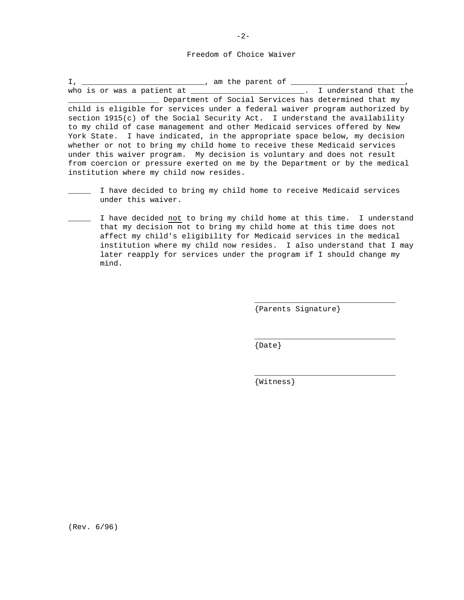Freedom of Choice Waiver

I, \_\_\_\_\_\_\_\_\_\_\_\_\_\_\_\_\_\_\_\_\_\_\_\_\_\_\_, am the parent of \_\_\_\_\_\_\_\_\_\_\_\_\_\_\_\_\_\_\_\_\_\_\_\_\_, who is or was a patient at \_\_\_\_\_\_\_\_\_\_\_\_\_\_\_\_\_\_\_\_\_\_\_\_\_\_\_. I understand that the \_\_\_\_\_\_\_\_\_\_\_\_\_\_\_\_\_\_\_\_ Department of Social Services has determined that my child is eligible for services under a federal waiver program authorized by section 1915(c) of the Social Security Act. I understand the availability to my child of case management and other Medicaid services offered by New York State. I have indicated, in the appropriate space below, my decision whether or not to bring my child home to receive these Medicaid services under this waiver program. My decision is voluntary and does not result from coercion or pressure exerted on me by the Department or by the medical institution where my child now resides.

- \_\_\_\_\_ I have decided to bring my child home to receive Medicaid services under this waiver.
- \_\_\_\_\_ I have decided not to bring my child home at this time. I understand that my decision not to bring my child home at this time does not affect my child's eligibility for Medicaid services in the medical institution where my child now resides. I also understand that I may later reapply for services under the program if I should change my mind.

 $\mathcal{L}_\mathcal{L}$  , and the set of the set of the set of the set of the set of the set of the set of the set of the set of the set of the set of the set of the set of the set of the set of the set of the set of the set of th

 $\mathcal{L}_\mathcal{L}$  , and the set of the set of the set of the set of the set of the set of the set of the set of the set of the set of the set of the set of the set of the set of the set of the set of the set of the set of th

 $\mathcal{L}_\mathcal{L}$  , and the set of the set of the set of the set of the set of the set of the set of the set of the set of the set of the set of the set of the set of the set of the set of the set of the set of the set of th

{Parents Signature}

{Date}

{Witness}

-2-

(Rev. 6/96)